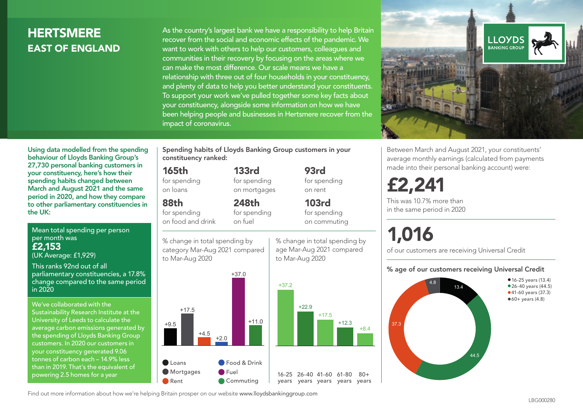# **HERTSMERE** EAST OF ENGLAND

As the country's largest bank we have a responsibility to help Britain recover from the social and economic effects of the pandemic. We want to work with others to help our customers, colleagues and communities in their recovery by focusing on the areas where we can make the most difference. Our scale means we have a relationship with three out of four households in your constituency, and plenty of data to help you better understand your constituents. To support your work we've pulled together some key facts about your constituency, alongside some information on how we have been helping people and businesses in Hertsmere recover from the impact of coronavirus.



Between March and August 2021, your constituents' average monthly earnings (calculated from payments made into their personal banking account) were:

£2,241

This was 10.7% more than in the same period in 2020

# 1,016

of our customers are receiving Universal Credit

#### % age of our customers receiving Universal Credit



Using data modelled from the spending behaviour of Lloyds Banking Group's 27,730 personal banking customers in your constituency, here's how their spending habits changed between March and August 2021 and the same period in 2020, and how they compare to other parliamentary constituencies in the UK:

Mean total spending per person per month was £2,153 (UK Average: £1,929)

This ranks 92nd out of all parliamentary constituencies, a 17.8% change compared to the same period in 2020

We've collaborated with the Sustainability Research Institute at the University of Leeds to calculate the average carbon emissions generated by the spending of Lloyds Banking Group customers. In 2020 our customers in your constituency generated 9.06 tonnes of carbon each – 14.9% less than in 2019. That's the equivalent of powering 2.5 homes for a year

Spending habits of Lloyds Banking Group customers in your constituency ranked:

> 133rd for spending on mortgages

248th

% change in total spending by age Mar-Aug 2021 compared

93rd for spending on rent

103rd for spending on commuting

 $80 +$ 

#### 165th

for spending on loans

88th

for spending on food and drink for spending on fuel

% change in total spending by category Mar-Aug 2021 compared



Find out more information about how we're helping Britain prosper on our website www.lloydsbankinggroup.com